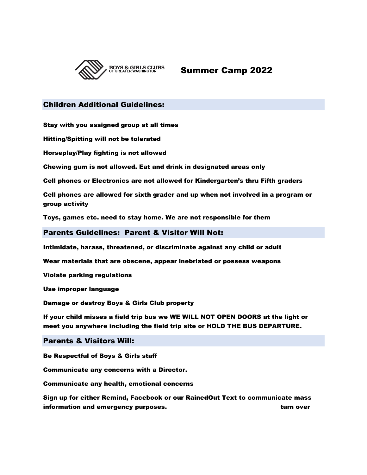

Summer Camp 2022

## Children Additional Guidelines:

Stay with you assigned group at all times

Hitting/Spitting will not be tolerated

Horseplay/Play fighting is not allowed

Chewing gum is not allowed. Eat and drink in designated areas only

Cell phones or Electronics are not allowed for Kindergarten's thru Fifth graders

Cell phones are allowed for sixth grader and up when not involved in a program or group activity

Toys, games etc. need to stay home. We are not responsible for them

Parents Guidelines: Parent & Visitor Will Not:

Intimidate, harass, threatened, or discriminate against any child or adult

Wear materials that are obscene, appear inebriated or possess weapons

Violate parking regulations

Use improper language

Damage or destroy Boys & Girls Club property

If your child misses a field trip bus we WE WILL NOT OPEN DOORS at the light or meet you anywhere including the field trip site or HOLD THE BUS DEPARTURE.

## Parents & Visitors Will:

Be Respectful of Boys & Girls staff

Communicate any concerns with a Director.

Communicate any health, emotional concerns

Sign up for either Remind, Facebook or our RainedOut Text to communicate mass information and emergency purposes. The same state of the state over turn over